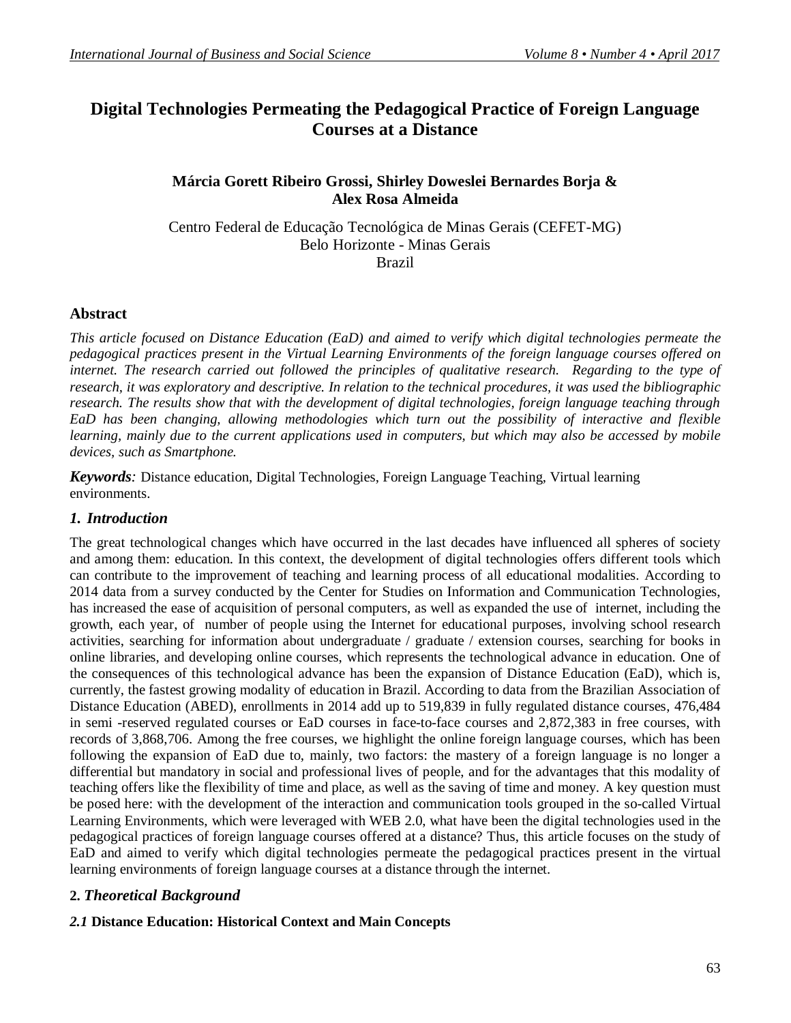# **Digital Technologies Permeating the Pedagogical Practice of Foreign Language Courses at a Distance**

## **Márcia Gorett Ribeiro Grossi, Shirley Doweslei Bernardes Borja & Alex Rosa Almeida**

Centro Federal de Educação Tecnológica de Minas Gerais (CEFET-MG) Belo Horizonte - Minas Gerais Brazil

### **Abstract**

*This article focused on Distance Education (EaD) and aimed to verify which digital technologies permeate the pedagogical practices present in the Virtual Learning Environments of the foreign language courses offered on*  internet. The research carried out followed the principles of qualitative research. Regarding to the type of *research, it was exploratory and descriptive. In relation to the technical procedures, it was used the bibliographic research. The results show that with the development of digital technologies, foreign language teaching through EaD has been changing, allowing methodologies which turn out the possibility of interactive and flexible learning, mainly due to the current applications used in computers, but which may also be accessed by mobile devices, such as Smartphone.*

*Keywords:* Distance education, Digital Technologies, Foreign Language Teaching, Virtual learning environments.

#### *1. Introduction*

The great technological changes which have occurred in the last decades have influenced all spheres of society and among them: education. In this context, the development of digital technologies offers different tools which can contribute to the improvement of teaching and learning process of all educational modalities. According to 2014 data from a survey conducted by the Center for Studies on Information and Communication Technologies, has increased the ease of acquisition of personal computers, as well as expanded the use of internet, including the growth, each year, of number of people using the Internet for educational purposes, involving school research activities, searching for information about undergraduate / graduate / extension courses, searching for books in online libraries, and developing online courses, which represents the technological advance in education. One of the consequences of this technological advance has been the expansion of Distance Education (EaD), which is, currently, the fastest growing modality of education in Brazil. According to data from the Brazilian Association of Distance Education (ABED), enrollments in 2014 add up to 519,839 in fully regulated distance courses, 476,484 in semi -reserved regulated courses or EaD courses in face-to-face courses and 2,872,383 in free courses, with records of 3,868,706. Among the free courses, we highlight the online foreign language courses, which has been following the expansion of EaD due to, mainly, two factors: the mastery of a foreign language is no longer a differential but mandatory in social and professional lives of people, and for the advantages that this modality of teaching offers like the flexibility of time and place, as well as the saving of time and money. A key question must be posed here: with the development of the interaction and communication tools grouped in the so-called Virtual Learning Environments, which were leveraged with WEB 2.0, what have been the digital technologies used in the pedagogical practices of foreign language courses offered at a distance? Thus, this article focuses on the study of EaD and aimed to verify which digital technologies permeate the pedagogical practices present in the virtual learning environments of foreign language courses at a distance through the internet.

## **2.** *Theoretical Background*

#### *2.1* **Distance Education: Historical Context and Main Concepts**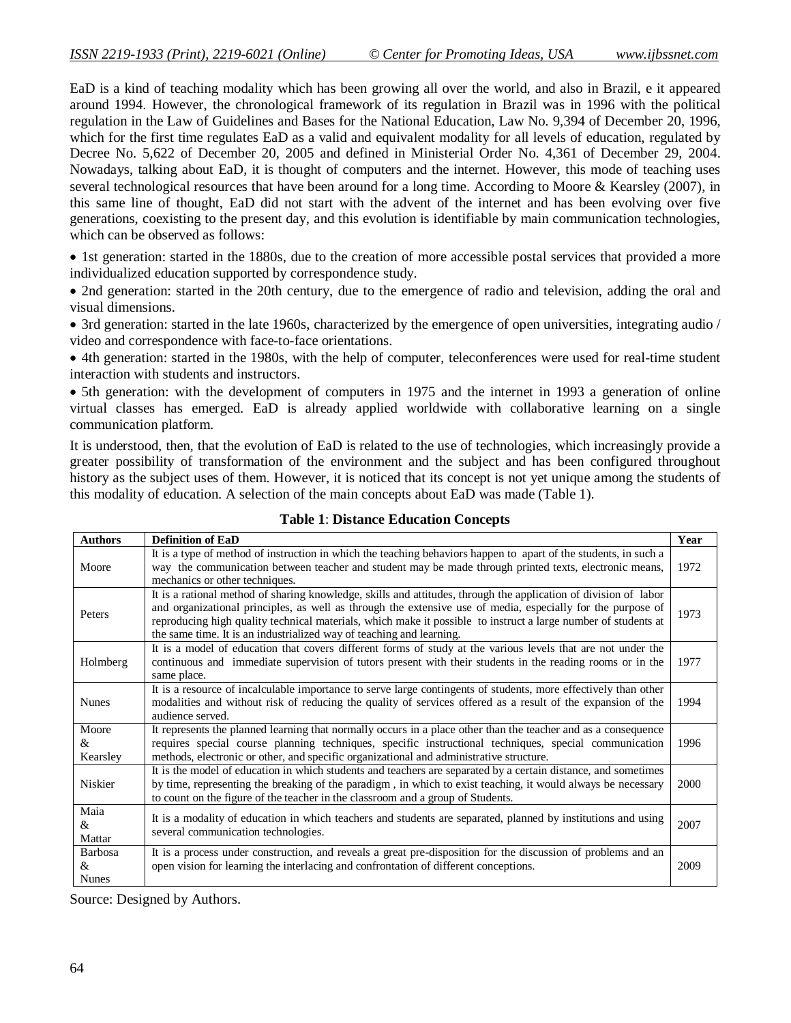EaD is a kind of teaching modality which has been growing all over the world, and also in Brazil, e it appeared around 1994. However, the chronological framework of its regulation in Brazil was in 1996 with the political regulation in the Law of Guidelines and Bases for the National Education, Law No. 9,394 of December 20, 1996, which for the first time regulates EaD as a valid and equivalent modality for all levels of education, regulated by Decree No. 5,622 of December 20, 2005 and defined in Ministerial Order No. 4,361 of December 29, 2004. Nowadays, talking about EaD, it is thought of computers and the internet. However, this mode of teaching uses several technological resources that have been around for a long time. According to Moore & Kearsley (2007), in this same line of thought, EaD did not start with the advent of the internet and has been evolving over five generations, coexisting to the present day, and this evolution is identifiable by main communication technologies, which can be observed as follows:

• 1st generation: started in the 1880s, due to the creation of more accessible postal services that provided a more individualized education supported by correspondence study.

• 2nd generation: started in the 20th century, due to the emergence of radio and television, adding the oral and visual dimensions.

• 3rd generation: started in the late 1960s, characterized by the emergence of open universities, integrating audio / video and correspondence with face-to-face orientations.

 4th generation: started in the 1980s, with the help of computer, teleconferences were used for real-time student interaction with students and instructors.

• 5th generation: with the development of computers in 1975 and the internet in 1993 a generation of online virtual classes has emerged. EaD is already applied worldwide with collaborative learning on a single communication platform.

It is understood, then, that the evolution of EaD is related to the use of technologies, which increasingly provide a greater possibility of transformation of the environment and the subject and has been configured throughout history as the subject uses of them. However, it is noticed that its concept is not yet unique among the students of this modality of education. A selection of the main concepts about EaD was made (Table 1).

| <b>Authors</b>                                | <b>Definition of EaD</b>                                                                                                                                                                                                                                                                                                                                                                                                  | Year |
|-----------------------------------------------|---------------------------------------------------------------------------------------------------------------------------------------------------------------------------------------------------------------------------------------------------------------------------------------------------------------------------------------------------------------------------------------------------------------------------|------|
| Moore                                         | It is a type of method of instruction in which the teaching behaviors happen to apart of the students, in such a<br>way the communication between teacher and student may be made through printed texts, electronic means,<br>mechanics or other techniques.                                                                                                                                                              | 1972 |
| Peters                                        | It is a rational method of sharing knowledge, skills and attitudes, through the application of division of labor<br>and organizational principles, as well as through the extensive use of media, especially for the purpose of<br>reproducing high quality technical materials, which make it possible to instruct a large number of students at<br>the same time. It is an industrialized way of teaching and learning. | 1973 |
| Holmberg                                      | It is a model of education that covers different forms of study at the various levels that are not under the<br>continuous and immediate supervision of tutors present with their students in the reading rooms or in the<br>same place.                                                                                                                                                                                  | 1977 |
| <b>Nunes</b>                                  | It is a resource of incalculable importance to serve large contingents of students, more effectively than other<br>modalities and without risk of reducing the quality of services offered as a result of the expansion of the<br>audience served.                                                                                                                                                                        | 1994 |
| Moore<br>&<br>Kearsley                        | It represents the planned learning that normally occurs in a place other than the teacher and as a consequence<br>requires special course planning techniques, specific instructional techniques, special communication<br>methods, electronic or other, and specific organizational and administrative structure.                                                                                                        | 1996 |
| Niskier                                       | It is the model of education in which students and teachers are separated by a certain distance, and sometimes<br>by time, representing the breaking of the paradigm, in which to exist teaching, it would always be necessary<br>to count on the figure of the teacher in the classroom and a group of Students.                                                                                                         | 2000 |
| Maia<br>$\mathcal{R}_{\mathcal{L}}$<br>Mattar | It is a modality of education in which teachers and students are separated, planned by institutions and using<br>several communication technologies.                                                                                                                                                                                                                                                                      | 2007 |
| Barbosa<br>&<br><b>Nunes</b>                  | It is a process under construction, and reveals a great pre-disposition for the discussion of problems and an<br>open vision for learning the interlacing and confrontation of different conceptions.                                                                                                                                                                                                                     | 2009 |

#### **Table 1**: **Distance Education Concepts**

Source: Designed by Authors.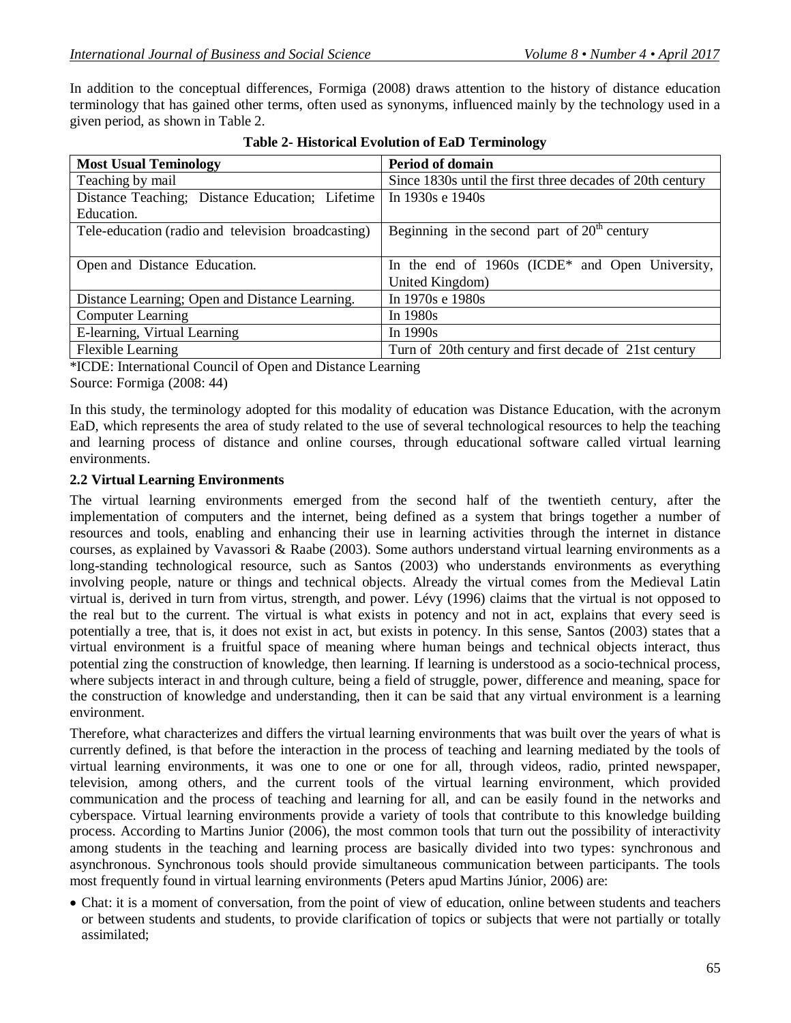In addition to the conceptual differences, Formiga (2008) draws attention to the history of distance education terminology that has gained other terms, often used as synonyms, influenced mainly by the technology used in a given period, as shown in Table 2.

| <b>Most Usual Teminology</b>                       | <b>Period of domain</b>                                   |  |
|----------------------------------------------------|-----------------------------------------------------------|--|
| Teaching by mail                                   | Since 1830s until the first three decades of 20th century |  |
| Distance Teaching; Distance Education; Lifetime    | In 1930s e 1940s                                          |  |
| Education.                                         |                                                           |  |
| Tele-education (radio and television broadcasting) | Beginning in the second part of $20th$ century            |  |
|                                                    |                                                           |  |
| Open and Distance Education.                       | In the end of $1960s$ (ICDE* and Open University,         |  |
|                                                    | United Kingdom)                                           |  |
| Distance Learning; Open and Distance Learning.     | In 1970s e 1980s                                          |  |
| <b>Computer Learning</b>                           | In 1980s                                                  |  |
| E-learning, Virtual Learning                       | In $1990s$                                                |  |
| <b>Flexible Learning</b>                           | Turn of 20th century and first decade of 21st century     |  |

**Table 2- Historical Evolution of EaD Terminology**

\*ICDE: International Council of Open and Distance Learning Source: Formiga (2008: 44)

In this study, the terminology adopted for this modality of education was Distance Education, with the acronym EaD, which represents the area of study related to the use of several technological resources to help the teaching and learning process of distance and online courses, through educational software called virtual learning environments.

### **2.2 Virtual Learning Environments**

The virtual learning environments emerged from the second half of the twentieth century, after the implementation of computers and the internet, being defined as a system that brings together a number of resources and tools, enabling and enhancing their use in learning activities through the internet in distance courses, as explained by Vavassori & Raabe (2003). Some authors understand virtual learning environments as a long-standing technological resource, such as Santos (2003) who understands environments as everything involving people, nature or things and technical objects. Already the virtual comes from the Medieval Latin virtual is, derived in turn from virtus, strength, and power. Lévy (1996) claims that the virtual is not opposed to the real but to the current. The virtual is what exists in potency and not in act, explains that every seed is potentially a tree, that is, it does not exist in act, but exists in potency. In this sense, Santos (2003) states that a virtual environment is a fruitful space of meaning where human beings and technical objects interact, thus potential zing the construction of knowledge, then learning. If learning is understood as a socio-technical process, where subjects interact in and through culture, being a field of struggle, power, difference and meaning, space for the construction of knowledge and understanding, then it can be said that any virtual environment is a learning environment.

Therefore, what characterizes and differs the virtual learning environments that was built over the years of what is currently defined, is that before the interaction in the process of teaching and learning mediated by the tools of virtual learning environments, it was one to one or one for all, through videos, radio, printed newspaper, television, among others, and the current tools of the virtual learning environment, which provided communication and the process of teaching and learning for all, and can be easily found in the networks and cyberspace. Virtual learning environments provide a variety of tools that contribute to this knowledge building process. According to Martins Junior (2006), the most common tools that turn out the possibility of interactivity among students in the teaching and learning process are basically divided into two types: synchronous and asynchronous. Synchronous tools should provide simultaneous communication between participants. The tools most frequently found in virtual learning environments (Peters apud Martins Júnior, 2006) are:

 Chat: it is a moment of conversation, from the point of view of education, online between students and teachers or between students and students, to provide clarification of topics or subjects that were not partially or totally assimilated;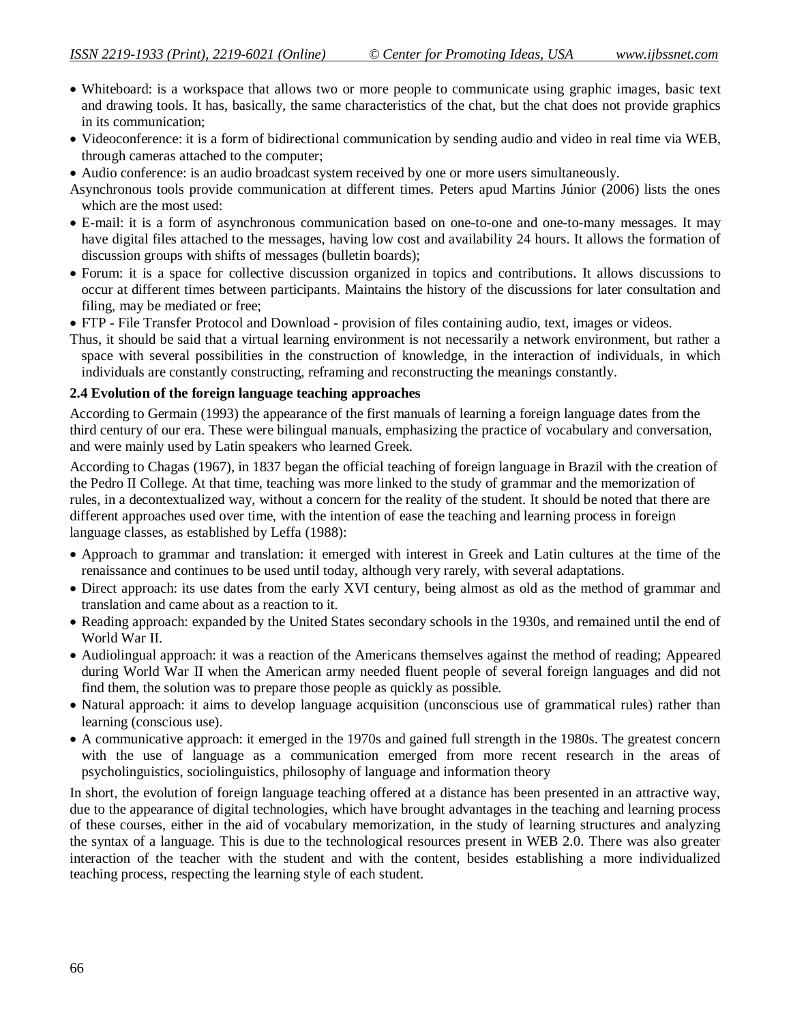- Whiteboard: is a workspace that allows two or more people to communicate using graphic images, basic text and drawing tools. It has, basically, the same characteristics of the chat, but the chat does not provide graphics in its communication;
- Videoconference: it is a form of bidirectional communication by sending audio and video in real time via WEB, through cameras attached to the computer;
- Audio conference: is an audio broadcast system received by one or more users simultaneously.
- Asynchronous tools provide communication at different times. Peters apud Martins Júnior (2006) lists the ones which are the most used:
- E-mail: it is a form of asynchronous communication based on one-to-one and one-to-many messages. It may have digital files attached to the messages, having low cost and availability 24 hours. It allows the formation of discussion groups with shifts of messages (bulletin boards);
- Forum: it is a space for collective discussion organized in topics and contributions. It allows discussions to occur at different times between participants. Maintains the history of the discussions for later consultation and filing, may be mediated or free;
- FTP File Transfer Protocol and Download provision of files containing audio, text, images or videos.
- Thus, it should be said that a virtual learning environment is not necessarily a network environment, but rather a space with several possibilities in the construction of knowledge, in the interaction of individuals, in which individuals are constantly constructing, reframing and reconstructing the meanings constantly.

#### **2.4 Evolution of the foreign language teaching approaches**

According to Germain (1993) the appearance of the first manuals of learning a foreign language dates from the third century of our era. These were bilingual manuals, emphasizing the practice of vocabulary and conversation, and were mainly used by Latin speakers who learned Greek.

According to Chagas (1967), in 1837 began the official teaching of foreign language in Brazil with the creation of the Pedro II College. At that time, teaching was more linked to the study of grammar and the memorization of rules, in a decontextualized way, without a concern for the reality of the student. It should be noted that there are different approaches used over time, with the intention of ease the teaching and learning process in foreign language classes, as established by Leffa (1988):

- Approach to grammar and translation: it emerged with interest in Greek and Latin cultures at the time of the renaissance and continues to be used until today, although very rarely, with several adaptations.
- Direct approach: its use dates from the early XVI century, being almost as old as the method of grammar and translation and came about as a reaction to it.
- Reading approach: expanded by the United States secondary schools in the 1930s, and remained until the end of World War II.
- Audiolingual approach: it was a reaction of the Americans themselves against the method of reading; Appeared during World War II when the American army needed fluent people of several foreign languages and did not find them, the solution was to prepare those people as quickly as possible.
- Natural approach: it aims to develop language acquisition (unconscious use of grammatical rules) rather than learning (conscious use).
- A communicative approach: it emerged in the 1970s and gained full strength in the 1980s. The greatest concern with the use of language as a communication emerged from more recent research in the areas of psycholinguistics, sociolinguistics, philosophy of language and information theory

In short, the evolution of foreign language teaching offered at a distance has been presented in an attractive way, due to the appearance of digital technologies, which have brought advantages in the teaching and learning process of these courses, either in the aid of vocabulary memorization, in the study of learning structures and analyzing the syntax of a language. This is due to the technological resources present in WEB 2.0. There was also greater interaction of the teacher with the student and with the content, besides establishing a more individualized teaching process, respecting the learning style of each student.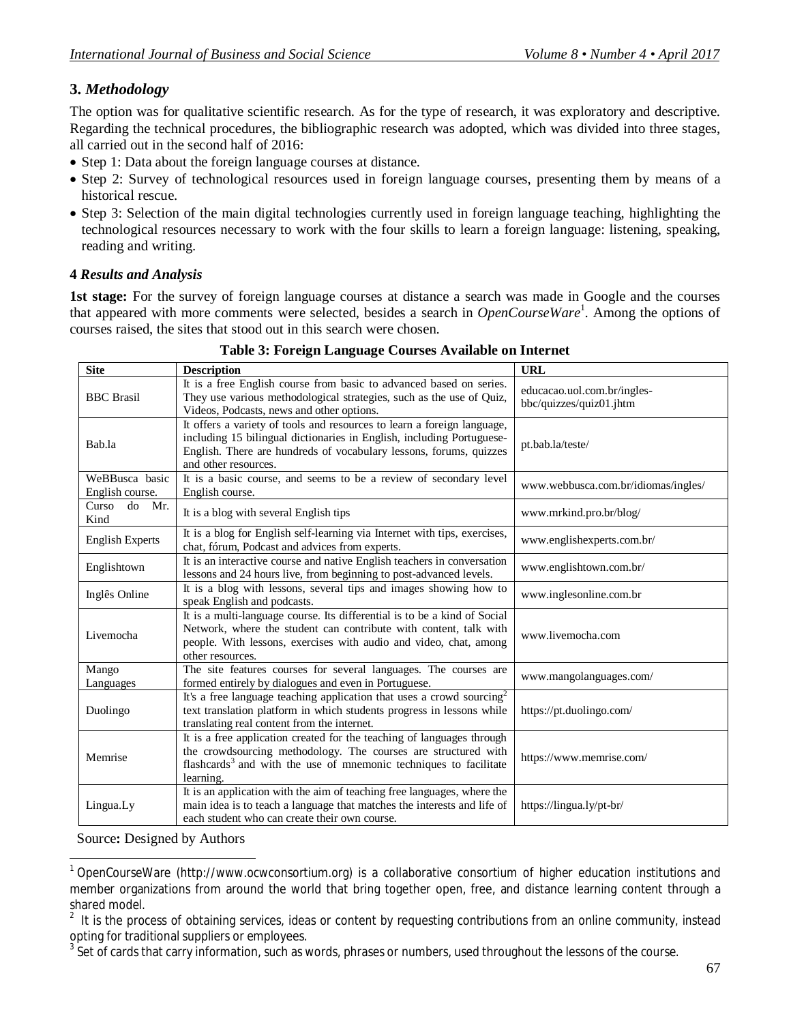## **3.** *Methodology*

The option was for qualitative scientific research. As for the type of research, it was exploratory and descriptive. Regarding the technical procedures, the bibliographic research was adopted, which was divided into three stages, all carried out in the second half of 2016:

- Step 1: Data about the foreign language courses at distance.
- Step 2: Survey of technological resources used in foreign language courses, presenting them by means of a historical rescue.
- Step 3: Selection of the main digital technologies currently used in foreign language teaching, highlighting the technological resources necessary to work with the four skills to learn a foreign language: listening, speaking, reading and writing.

## **4** *Results and Analysis*

**1st stage:** For the survey of foreign language courses at distance a search was made in Google and the courses that appeared with more comments were selected, besides a search in *OpenCourseWare*<sup>1</sup>. Among the options of courses raised, the sites that stood out in this search were chosen.

| <b>Site</b>                                                                                                                                                                                                                                              | <b>Description</b>                                                                                                          | <b>URL</b>                                             |
|----------------------------------------------------------------------------------------------------------------------------------------------------------------------------------------------------------------------------------------------------------|-----------------------------------------------------------------------------------------------------------------------------|--------------------------------------------------------|
| It is a free English course from basic to advanced based on series.<br>They use various methodological strategies, such as the use of Quiz,<br><b>BBC</b> Brasil<br>Videos, Podcasts, news and other options.                                            |                                                                                                                             | educacao.uol.com.br/ingles-<br>bbc/quizzes/quiz01.jhtm |
| It offers a variety of tools and resources to learn a foreign language,<br>including 15 bilingual dictionaries in English, including Portuguese-<br>Bab.la<br>English. There are hundreds of vocabulary lessons, forums, quizzes<br>and other resources. |                                                                                                                             | pt.bab.la/teste/                                       |
| It is a basic course, and seems to be a review of secondary level<br>WeBBusca basic<br>English course.<br>English course.                                                                                                                                |                                                                                                                             | www.webbusca.com.br/idiomas/ingles/                    |
| Curso<br>do<br>Mr.<br>Kind                                                                                                                                                                                                                               | It is a blog with several English tips                                                                                      | www.mrkind.pro.br/blog/                                |
| <b>English Experts</b>                                                                                                                                                                                                                                   | It is a blog for English self-learning via Internet with tips, exercises,<br>chat, fórum, Podcast and advices from experts. | www.englishexperts.com.br/                             |
| It is an interactive course and native English teachers in conversation<br>Englishtown<br>lessons and 24 hours live, from beginning to post-advanced levels.                                                                                             |                                                                                                                             | www.englishtown.com.br/                                |
| It is a blog with lessons, several tips and images showing how to<br>Inglês Online<br>speak English and podcasts.                                                                                                                                        |                                                                                                                             | www.inglesonline.com.br                                |
| It is a multi-language course. Its differential is to be a kind of Social<br>Network, where the student can contribute with content, talk with<br>Livemocha<br>people. With lessons, exercises with audio and video, chat, among<br>other resources.     |                                                                                                                             | www.livemocha.com                                      |
| Mango<br>Languages                                                                                                                                                                                                                                       | The site features courses for several languages. The courses are<br>formed entirely by dialogues and even in Portuguese.    | www.mangolanguages.com/                                |
| It's a free language teaching application that uses a crowd sourcing <sup>2</sup><br>text translation platform in which students progress in lessons while<br>Duolingo<br>translating real content from the internet.                                    |                                                                                                                             | https://pt.duolingo.com/                               |
| It is a free application created for the teaching of languages through<br>the crowdsourcing methodology. The courses are structured with<br>Memrise<br>flashcards <sup>3</sup> and with the use of mnemonic techniques to facilitate<br>learning.        |                                                                                                                             | https://www.memrise.com/                               |
| It is an application with the aim of teaching free languages, where the<br>main idea is to teach a language that matches the interests and life of<br>Lingua.Ly<br>each student who can create their own course.                                         |                                                                                                                             | https://lingua.ly/pt-br/                               |

#### **Table 3: Foreign Language Courses Available on Internet**

Source**:** Designed by Authors

 $\overline{\phantom{a}}$ 1 OpenCourseWare (http://www.ocwconsortium.org) is a collaborative consortium of higher education institutions and member organizations from around the world that bring together open, free, and distance learning content through a shared model.

<sup>2</sup> It is the process of obtaining services, ideas or content by requesting contributions from an online community, instead opting for traditional suppliers or employees.

 $^3$  Set of cards that carry information, such as words, phrases or numbers, used throughout the lessons of the course.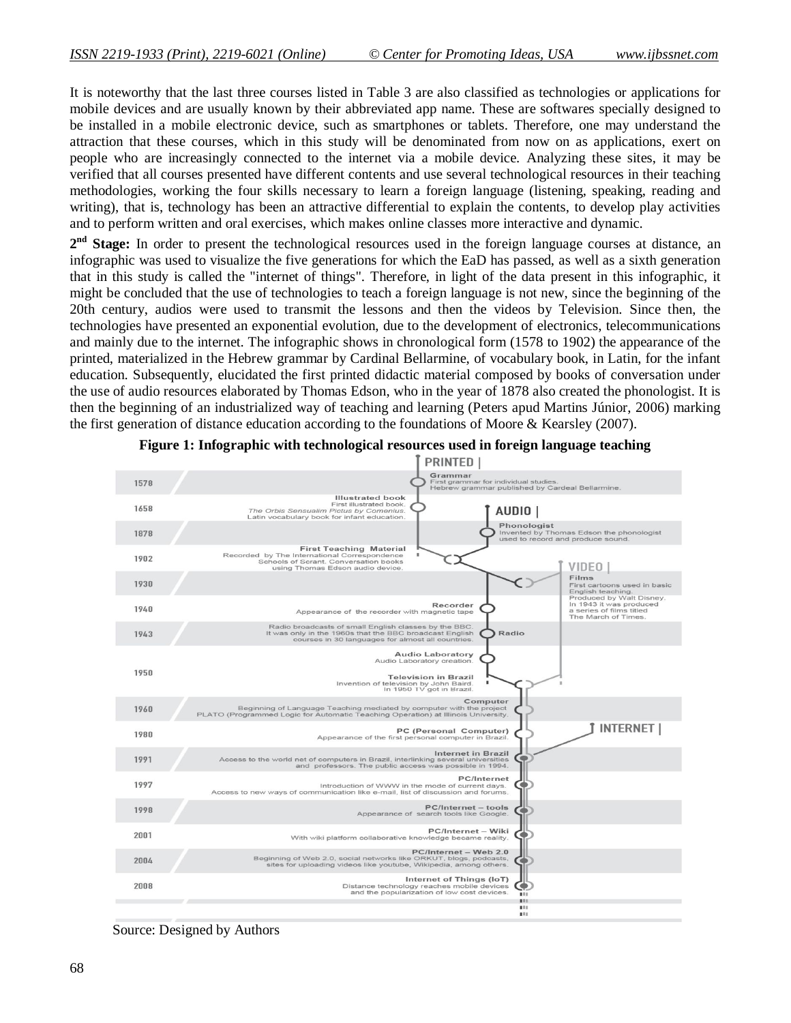It is noteworthy that the last three courses listed in Table 3 are also classified as technologies or applications for mobile devices and are usually known by their abbreviated app name. These are softwares specially designed to be installed in a mobile electronic device, such as smartphones or tablets. Therefore, one may understand the attraction that these courses, which in this study will be denominated from now on as applications, exert on people who are increasingly connected to the internet via a mobile device. Analyzing these sites, it may be verified that all courses presented have different contents and use several technological resources in their teaching methodologies, working the four skills necessary to learn a foreign language (listening, speaking, reading and writing), that is, technology has been an attractive differential to explain the contents, to develop play activities and to perform written and oral exercises, which makes online classes more interactive and dynamic.

2<sup>nd</sup> Stage: In order to present the technological resources used in the foreign language courses at distance, an infographic was used to visualize the five generations for which the EaD has passed, as well as a sixth generation that in this study is called the "internet of things". Therefore, in light of the data present in this infographic, it might be concluded that the use of technologies to teach a foreign language is not new, since the beginning of the 20th century, audios were used to transmit the lessons and then the videos by Television. Since then, the technologies have presented an exponential evolution, due to the development of electronics, telecommunications and mainly due to the internet. The infographic shows in chronological form (1578 to 1902) the appearance of the printed, materialized in the Hebrew grammar by Cardinal Bellarmine, of vocabulary book, in Latin, for the infant education. Subsequently, elucidated the first printed didactic material composed by books of conversation under the use of audio resources elaborated by Thomas Edson, who in the year of 1878 also created the phonologist. It is then the beginning of an industrialized way of teaching and learning (Peters apud Martins Júnior, 2006) marking the first generation of distance education according to the foundations of Moore & Kearsley (2007).



#### **Figure 1: Infographic with technological resources used in foreign language teaching**

Source: Designed by Authors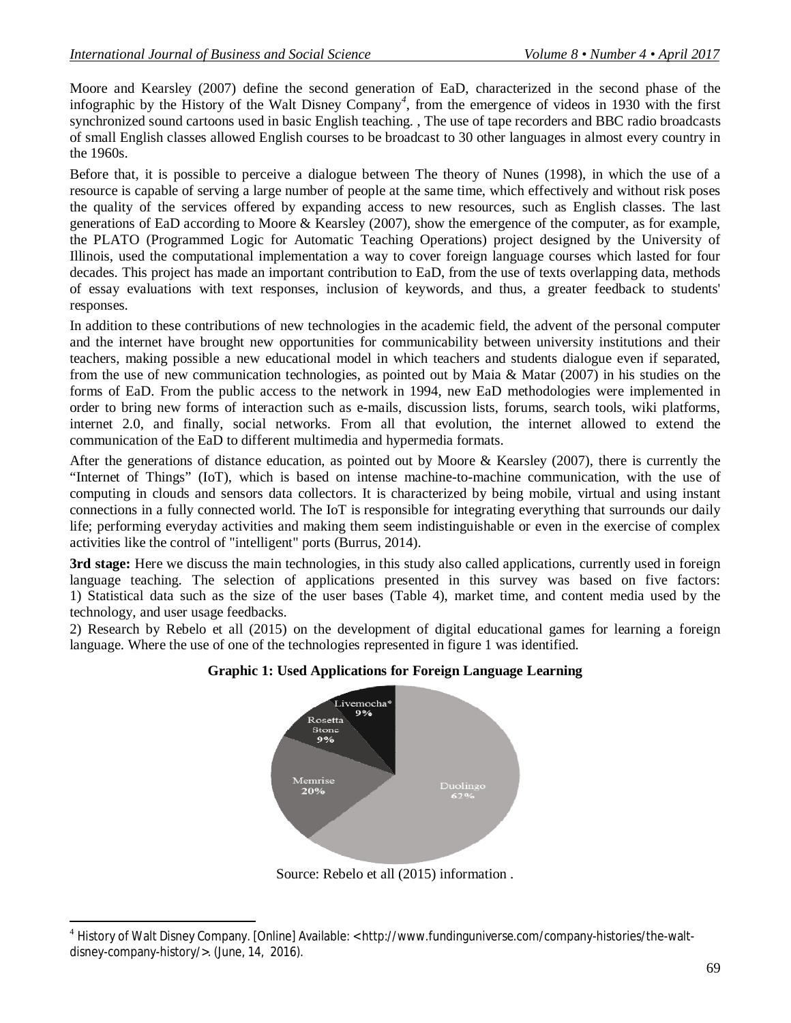Moore and Kearsley (2007) define the second generation of EaD, characterized in the second phase of the infographic by the History of the Walt Disney Company*<sup>4</sup>* , from the emergence of videos in 1930 with the first synchronized sound cartoons used in basic English teaching. , The use of tape recorders and BBC radio broadcasts of small English classes allowed English courses to be broadcast to 30 other languages in almost every country in the 1960s.

Before that, it is possible to perceive a dialogue between The theory of Nunes (1998), in which the use of a resource is capable of serving a large number of people at the same time, which effectively and without risk poses the quality of the services offered by expanding access to new resources, such as English classes. The last generations of EaD according to Moore & Kearsley (2007), show the emergence of the computer, as for example, the PLATO (Programmed Logic for Automatic Teaching Operations) project designed by the University of Illinois, used the computational implementation a way to cover foreign language courses which lasted for four decades. This project has made an important contribution to EaD, from the use of texts overlapping data, methods of essay evaluations with text responses, inclusion of keywords, and thus, a greater feedback to students' responses.

In addition to these contributions of new technologies in the academic field, the advent of the personal computer and the internet have brought new opportunities for communicability between university institutions and their teachers, making possible a new educational model in which teachers and students dialogue even if separated, from the use of new communication technologies, as pointed out by Maia & Matar (2007) in his studies on the forms of EaD. From the public access to the network in 1994, new EaD methodologies were implemented in order to bring new forms of interaction such as e-mails, discussion lists, forums, search tools, wiki platforms, internet 2.0, and finally, social networks. From all that evolution, the internet allowed to extend the communication of the EaD to different multimedia and hypermedia formats.

After the generations of distance education, as pointed out by Moore & Kearsley (2007), there is currently the "Internet of Things" (IoT), which is based on intense machine-to-machine communication, with the use of computing in clouds and sensors data collectors. It is characterized by being mobile, virtual and using instant connections in a fully connected world. The IoT is responsible for integrating everything that surrounds our daily life; performing everyday activities and making them seem indistinguishable or even in the exercise of complex activities like the control of "intelligent" ports (Burrus, 2014).

**3rd stage:** Here we discuss the main technologies, in this study also called applications, currently used in foreign language teaching. The selection of applications presented in this survey was based on five factors: 1) Statistical data such as the size of the user bases (Table 4), market time, and content media used by the technology, and user usage feedbacks.

2) Research by Rebelo et all (2015) on the development of digital educational games for learning a foreign language. Where the use of one of the technologies represented in figure 1 was identified.



**Graphic 1: Used Applications for Foreign Language Learning**

Source: Rebelo et all (2015) information .

 $\overline{a}$ <sup>4</sup> History of Walt Disney Company. [Online] Available: < http://www.fundinguniverse.com/company-histories/the-waltdisney-company-history/>. (June, 14, 2016).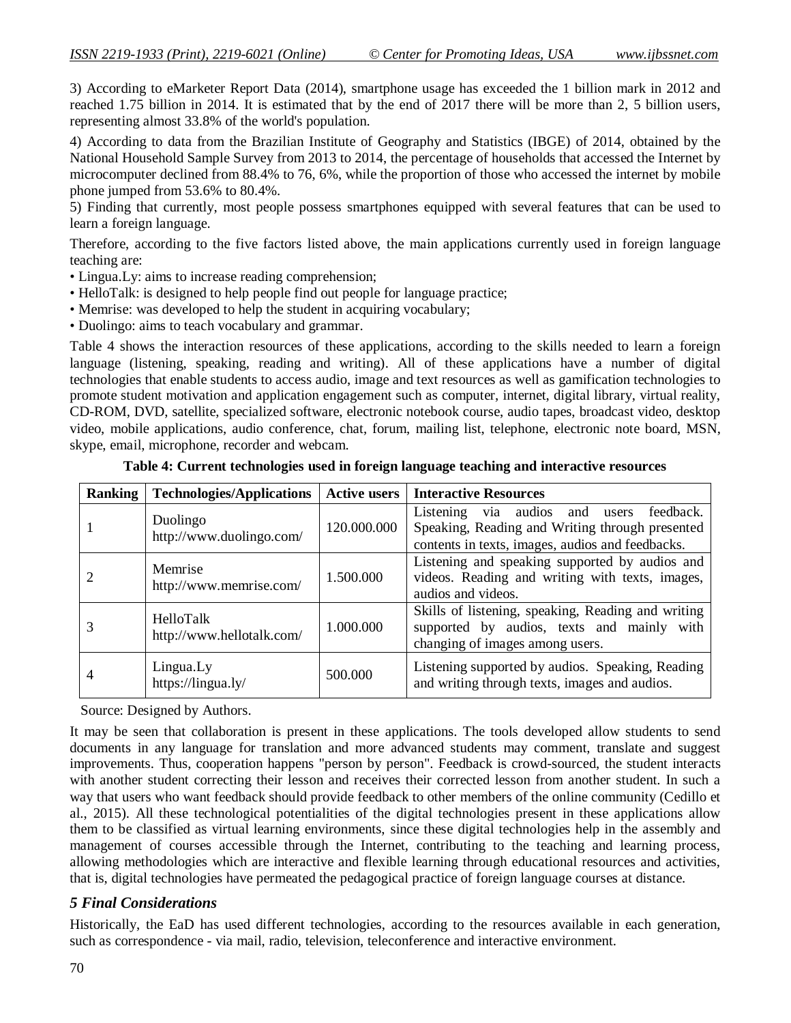3) According to eMarketer Report Data (2014), smartphone usage has exceeded the 1 billion mark in 2012 and reached 1.75 billion in 2014. It is estimated that by the end of 2017 there will be more than 2, 5 billion users, representing almost 33.8% of the world's population.

4) According to data from the Brazilian Institute of Geography and Statistics (IBGE) of 2014, obtained by the National Household Sample Survey from 2013 to 2014, the percentage of households that accessed the Internet by microcomputer declined from 88.4% to 76, 6%, while the proportion of those who accessed the internet by mobile phone jumped from 53.6% to 80.4%.

5) Finding that currently, most people possess smartphones equipped with several features that can be used to learn a foreign language.

Therefore, according to the five factors listed above, the main applications currently used in foreign language teaching are:

- Lingua.Ly: aims to increase reading comprehension;
- HelloTalk: is designed to help people find out people for language practice;
- Memrise: was developed to help the student in acquiring vocabulary;
- Duolingo: aims to teach vocabulary and grammar.

Table 4 shows the interaction resources of these applications, according to the skills needed to learn a foreign language (listening, speaking, reading and writing). All of these applications have a number of digital technologies that enable students to access audio, image and text resources as well as gamification technologies to promote student motivation and application engagement such as computer, internet, digital library, virtual reality, CD-ROM, DVD, satellite, specialized software, electronic notebook course, audio tapes, broadcast video, desktop video, mobile applications, audio conference, chat, forum, mailing list, telephone, electronic note board, MSN, skype, email, microphone, recorder and webcam.

| Ranking | <b>Technologies/Applications</b>       | <b>Active users</b> | <b>Interactive Resources</b>                                                                                                                             |
|---------|----------------------------------------|---------------------|----------------------------------------------------------------------------------------------------------------------------------------------------------|
|         | Duolingo<br>http://www.duolingo.com/   | 120.000.000         | feedback.<br>Listening<br>via audios and<br>users<br>Speaking, Reading and Writing through presented<br>contents in texts, images, audios and feedbacks. |
|         | Memrise<br>http://www.memrise.com/     | 1.500.000           | Listening and speaking supported by audios and<br>videos. Reading and writing with texts, images,<br>audios and videos.                                  |
|         | HelloTalk<br>http://www.hellotalk.com/ | 1.000.000           | Skills of listening, speaking, Reading and writing<br>supported by audios, texts and mainly with<br>changing of images among users.                      |
| 4       | Lingua.Ly<br>https://lingua.ly/        | 500,000             | Listening supported by audios. Speaking, Reading<br>and writing through texts, images and audios.                                                        |

**Table 4: Current technologies used in foreign language teaching and interactive resources**

Source: Designed by Authors.

It may be seen that collaboration is present in these applications. The tools developed allow students to send documents in any language for translation and more advanced students may comment, translate and suggest improvements. Thus, cooperation happens "person by person". Feedback is crowd-sourced, the student interacts with another student correcting their lesson and receives their corrected lesson from another student. In such a way that users who want feedback should provide feedback to other members of the online community (Cedillo et al., 2015). All these technological potentialities of the digital technologies present in these applications allow them to be classified as virtual learning environments, since these digital technologies help in the assembly and management of courses accessible through the Internet, contributing to the teaching and learning process, allowing methodologies which are interactive and flexible learning through educational resources and activities, that is, digital technologies have permeated the pedagogical practice of foreign language courses at distance.

## *5 Final Considerations*

Historically, the EaD has used different technologies, according to the resources available in each generation, such as correspondence - via mail, radio, television, teleconference and interactive environment.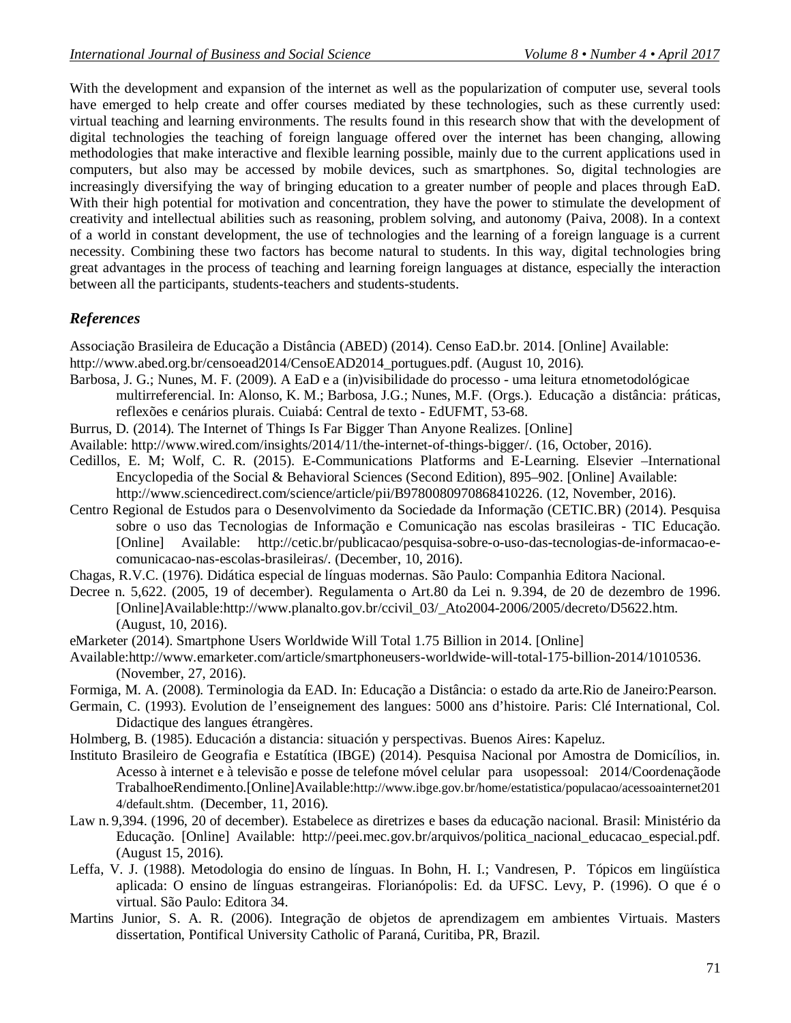With the development and expansion of the internet as well as the popularization of computer use, several tools have emerged to help create and offer courses mediated by these technologies, such as these currently used: virtual teaching and learning environments. The results found in this research show that with the development of digital technologies the teaching of foreign language offered over the internet has been changing, allowing methodologies that make interactive and flexible learning possible, mainly due to the current applications used in computers, but also may be accessed by mobile devices, such as smartphones. So, digital technologies are increasingly diversifying the way of bringing education to a greater number of people and places through EaD. With their high potential for motivation and concentration, they have the power to stimulate the development of creativity and intellectual abilities such as reasoning, problem solving, and autonomy (Paiva, 2008). In a context of a world in constant development, the use of technologies and the learning of a foreign language is a current necessity. Combining these two factors has become natural to students. In this way, digital technologies bring great advantages in the process of teaching and learning foreign languages at distance, especially the interaction between all the participants, students-teachers and students-students.

## *References*

Associação Brasileira de Educação a Distância (ABED) (2014). Censo EaD.br. 2014. [Online] Available: http://www.abed.org.br/censoead2014/CensoEAD2014\_portugues.pdf. (August 10, 2016).

- Barbosa, J. G.; Nunes, M. F. (2009). A EaD e a (in)visibilidade do processo uma leitura etnometodológicae multirreferencial. In: Alonso, K. M.; Barbosa, J.G.; Nunes, M.F. (Orgs.). Educação a distância: práticas, reflexões e cenários plurais. Cuiabá: Central de texto - EdUFMT, 53-68.
- Burrus, D. (2014). The Internet of Things Is Far Bigger Than Anyone Realizes. [Online]
- Available: http://www.wired.com/insights/2014/11/the-internet-of-things-bigger/. (16, October, 2016).
- Cedillos, E. M; Wolf, C. R. (2015). E-Communications Platforms and E-Learning. Elsevier –International Encyclopedia of the Social & Behavioral Sciences (Second Edition), 895–902. [Online] Available: http://www.sciencedirect.com/science/article/pii/B9780080970868410226. (12, November, 2016).
- Centro Regional de Estudos para o Desenvolvimento da Sociedade da Informação (CETIC.BR) (2014). Pesquisa sobre o uso das Tecnologias de Informação e Comunicação nas escolas brasileiras - TIC Educação. [Online] Available: http://cetic.br/publicacao/pesquisa-sobre-o-uso-das-tecnologias-de-informacao-ecomunicacao-nas-escolas-brasileiras/. (December, 10, 2016).
- Chagas, R.V.C. (1976). Didática especial de línguas modernas. São Paulo: Companhia Editora Nacional.
- Decree n. 5,622. (2005, 19 of december). Regulamenta o Art.80 da Lei n. 9.394, de 20 de dezembro de 1996. [Online]Available:http://www.planalto.gov.br/ccivil\_03/\_Ato2004-2006/2005/decreto/D5622.htm. (August, 10, 2016).
- eMarketer (2014). Smartphone Users Worldwide Will Total 1.75 Billion in 2014. [Online]
- Available:http://www.emarketer.com/article/smartphoneusers-worldwide-will-total-175-billion-2014/1010536. (November, 27, 2016).
- Formiga, M. A. (2008). Terminologia da EAD. In: Educação a Distância: o estado da arte.Rio de Janeiro:Pearson.
- Germain, C. (1993). Evolution de l'enseignement des langues: 5000 ans d'histoire. Paris: Clé International, Col. Didactique des langues étrangères.
- Holmberg, B. (1985). Educación a distancia: situación y perspectivas. Buenos Aires: Kapeluz.
- Instituto Brasileiro de Geografia e Estatítica (IBGE) (2014). Pesquisa Nacional por Amostra de Domicílios, in. Acesso à internet e à televisão e posse de telefone móvel celular para usopessoal: 2014/Coordenaçãode TrabalhoeRendimento.[Online]Available:http://www.ibge.gov.br/home/estatistica/populacao/acessoainternet201 4/default.shtm. (December, 11, 2016).
- Law n. 9,394. (1996, 20 of december). Estabelece as diretrizes e bases da educação nacional. Brasil: Ministério da Educação. [Online] Available: http://peei.mec.gov.br/arquivos/politica\_nacional\_educacao\_especial.pdf. (August 15, 2016).
- Leffa, V. J. (1988). Metodologia do ensino de línguas. In Bohn, H. I.; Vandresen, P. Tópicos em lingüística aplicada: O ensino de línguas estrangeiras. Florianópolis: Ed. da UFSC. Levy, P. (1996). O que é o virtual. São Paulo: Editora 34.
- Martins Junior, S. A. R. (2006). Integração de objetos de aprendizagem em ambientes Virtuais. Masters dissertation, Pontifical University Catholic of Paraná, Curitiba, PR, Brazil.